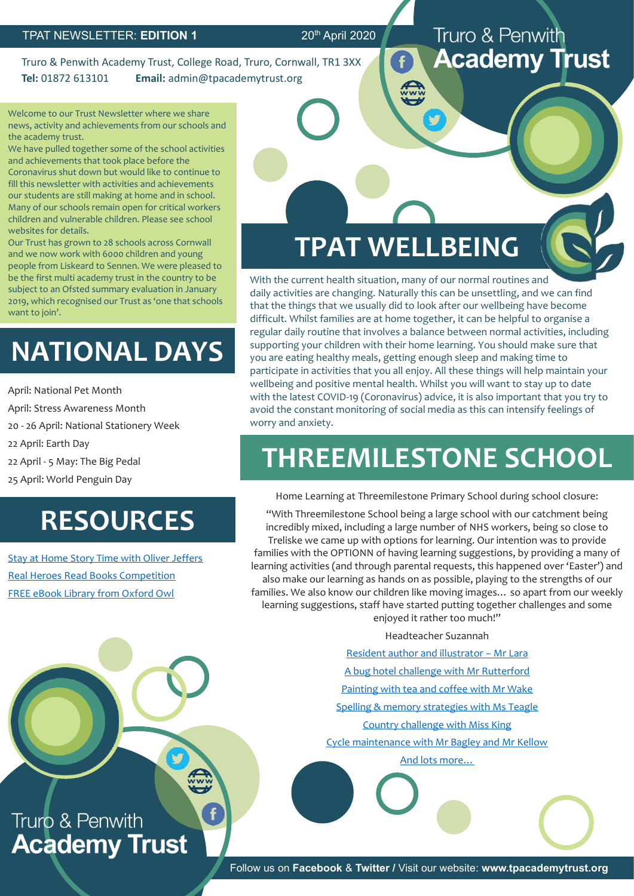Truro & Penwith Academy Trust, College Road, Truro, Cornwall, TR1 3XX **Tel:** 01872 613101 **Email:** admin@tpacademytrust.org

Welcome to our Trust Newsletter where we share news, activity and achievements from our schools and the academy trust.

We have pulled together some of the school activities and achievements that took place before the Coronavirus shut down but would like to continue to fill this newsletter with activities and achievements our students are still making at home and in school. Many of our schools remain open for critical workers children and vulnerable children. Please see school websites for details.

Our Trust has grown to 28 schools across Cornwall and we now work with 6000 children and young people from Liskeard to Sennen. We were pleased to be the first multi academy trust in the country to be subject to an Ofsted summary evaluation in January 2019, which recognised our Trust as 'one that schools want to join'.

# **NATIONAL DAYS**

April: National Pet Month

April: Stress Awareness Month

20 - 26 April: National Stationery Week

22 April: Earth Day

22 April - 5 May: The Big Pedal

25 April: World Penguin Day

# **RESOURCES**

[Stay at Home Story Time with Oliver Jeffers](https://www.oliverjeffers.com/books#/abookaday/) [Real Heroes Read Books Competition](https://www.cornwall.gov.uk/health-and-social-care/together-for-families/news/real-heroes-read-books/real-heroes-read-books-competition/?fbclid=IwAR2kR9uNLUV5oT3VQ4HQSozTJyFgm8l-mU99J2Az_Hf-tFxJb0Qpm1rH7o4) [FREE eBook Library from Oxford Owl](https://www.oxfordowl.co.uk/for-home/find-a-book/library-page)

### Truro & Penwith **Academy Trust**

# **TPAT WELLBEING**

With the current health situation, many of our normal routines and daily activities are changing. Naturally this can be unsettling, and we can find that the things that we usually did to look after our wellbeing have become difficult. Whilst families are at home together, it can be helpful to organise a regular daily routine that involves a balance between normal activities, including supporting your children with their home learning. You should make sure that you are eating healthy meals, getting enough sleep and making time to participate in activities that you all enjoy. All these things will help maintain your wellbeing and positive mental health. Whilst you will want to stay up to date with the latest COVID-19 (Coronavirus) advice, it is also important that you try to avoid the constant monitoring of social media as this can intensify feelings of worry and anxiety.

# **THREEMILESTONE SCHOOL**

Home Learning at Threemilestone Primary School during school closure:

"With Threemilestone School being a large school with our catchment being incredibly mixed, including a large number of NHS workers, being so close to Treliske we came up with options for learning. Our intention was to provide families with the OPTIONN of having learning suggestions, by providing a many of learning activities (and through parental requests, this happened over 'Easter') and also make our learning as hands on as possible, playing to the strengths of our families. We also know our children like moving images… so apart from our weekly learning suggestions, staff have started putting together challenges and some enjoyed it rather too much!"

Headteacher Suzannah

[Resident author and illustrator](https://www.youtube.com/watch?time_continue=4&v=HrKror7hJJQ&feature=emb_logo) – Mr Lara

[A bug hotel challenge with Mr Rutterford](https://www.youtube.com/watch?v=jPZqlvvYNek&feature=emb_logo)

[Painting with tea and coffee with Mr Wake](https://www.youtube.com/watch?v=YLgab6RKSdY&feature=youtu.be)

[Spelling & memory strategies with Ms Teagle](https://www.youtube.com/watch?v=-vjtiaaj9IY&feature=youtu.be)

[Country challenge with Miss King](https://www.youtube.com/watch?time_continue=4&v=rqJe7H1o7QI&feature=emb_logo)

Cycle maintenance [with Mr Bagley and Mr Kellow](https://www.youtube.com/watch?v=zpWb4HJlKDM&feature=emb_logo)

[And lots more…](https://www.threemilestone.cornwall.sch.uk/tms-staff-learning-tips/)

## Truro & Penwith **Academy Trust**

**A** 

Follow us on **Facebook** & **Twitter /** Visit our website: **www.tpacademytrust.org**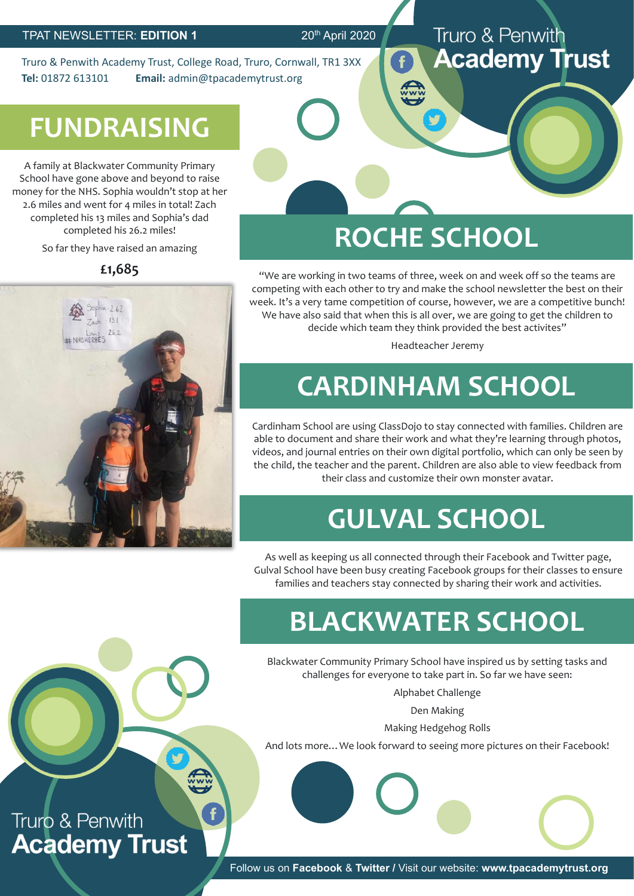Truro & Penwith Academy Trust, College Road, Truro, Cornwall, TR1 3XX **Tel:** 01872 613101 **Email:** admin@tpacademytrust.org

### Truro & Penwith **Academy Trust**

# **FUNDRAISING**

A family at Blackwater Community Primary School have gone above and beyond to raise money for the NHS. Sophia wouldn't stop at her 2.6 miles and went for 4 miles in total! Zach completed his 13 miles and Sophia's dad completed his 26.2 miles!

So far they have raised an amazing

**£1,685**



# **ROCHE SCHOOL**

"We are working in two teams of three, week on and week off so the teams are competing with each other to try and make the school newsletter the best on their week. It's a very tame competition of course, however, we are a competitive bunch! We have also said that when this is all over, we are going to get the children to decide which team they think provided the best activites"

Headteacher Jeremy

# **CARDINHAM SCHOOL**

Cardinham School are using ClassDojo to stay connected with families. Children are able to document and share their work and what they're learning through photos, videos, and journal entries on their own digital portfolio, which can only be seen by the child, the teacher and the parent. Children are also able to view feedback from their class and customize their own monster avatar.

# **GULVAL SCHOOL**

As well as keeping us all connected through their Facebook and Twitter page, Gulval School have been busy creating Facebook groups for their classes to ensure families and teachers stay connected by sharing their work and activities.

# **BLACKWATER SCHOOL**

Blackwater Community Primary School have inspired us by setting tasks and challenges for everyone to take part in. So far we have seen:

Alphabet Challenge

Den Making

Making Hedgehog Rolls

And lots more…We look forward to seeing more pictures on their Facebook!

Truro & Penwith **Academy Trust** 

EN

Follow us on **Facebook** & **Twitter /** Visit our website: **www.tpacademytrust.org**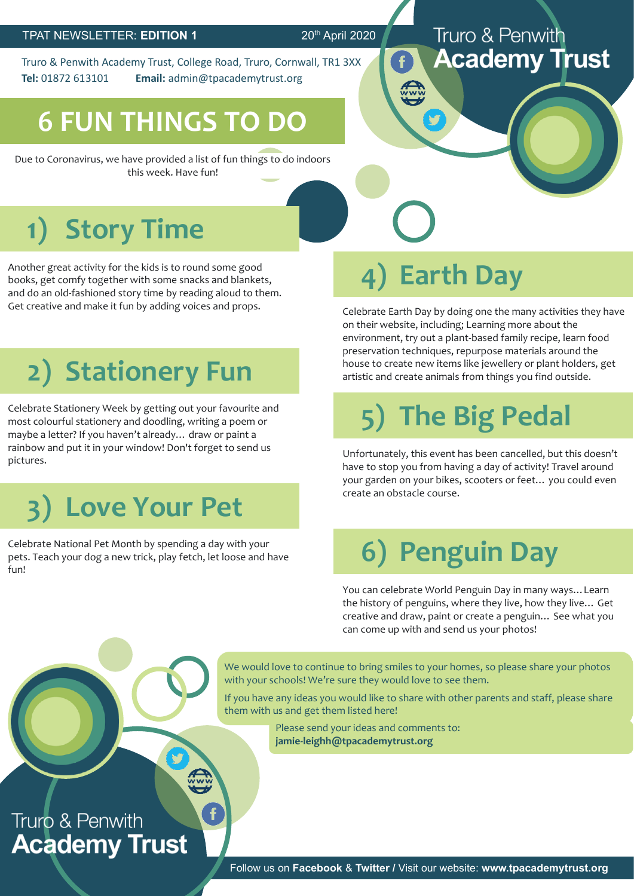Truro & Penwith Academy Trust, College Road, Truro, Cornwall, TR1 3XX **Tel:** 01872 613101 **Email:** admin@tpacademytrust.org

# **6 FUN THINGS TO DO**

Due to Coronavirus, we have provided a list of fun things to do indoors this week. Have fun!

# **1) Story Time**

Another great activity for the kids is to round some good books, get comfy together with some snacks and blankets, and do an old-fashioned story time by reading aloud to them. Get creative and make it fun by adding voices and props.

# **2) Stationery Fun**

Celebrate Stationery Week by getting out your favourite and most colourful stationery and doodling, writing a poem or maybe a letter? If you haven't already… draw or paint a rainbow and put it in your window! Don't forget to send us pictures.

# **3) Love Your Pet**

Celebrate National Pet Month by spending a day with your pets. Teach your dog a new trick, play fetch, let loose and have fun!

# **4) Earth Day**

Celebrate Earth Day by doing one the many activities they have on their website, including; Learning more about the environment, try out a plant-based family recipe, learn food preservation techniques, repurpose materials around the house to create new items like jewellery or plant holders, get artistic and create animals from things you find outside.

Truro & Penwith

**Academy Trust** 

# **5) The Big Pedal**

Unfortunately, this event has been cancelled, but this doesn't have to stop you from having a day of activity! Travel around your garden on your bikes, scooters or feet… you could even create an obstacle course.

# **6) Penguin Day**

You can celebrate World Penguin Day in many ways…Learn the history of penguins, where they live, how they live… Get creative and draw, paint or create a penguin… See what you can come up with and send us your photos!

We would love to continue to bring smiles to your homes, so please share your photos with your schools! We're sure they would love to see them.

If you have any ideas you would like to share with other parents and staff, please share them with us and get them listed here!

> Please send your ideas and comments to: **jamie-leighh@tpacademytrust.org**

### Truro & Penwith **Academy Trust**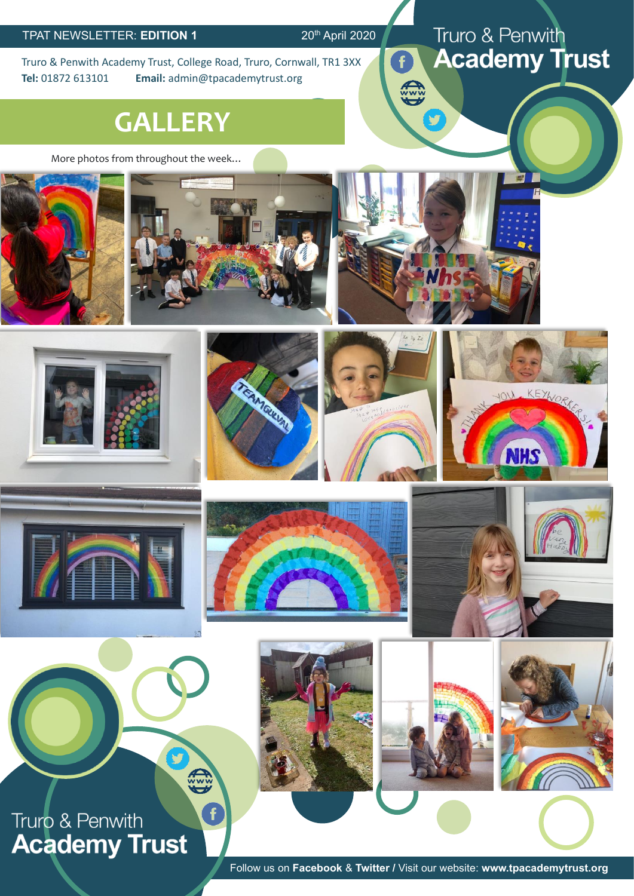$\widehat{\mathbf{f}}$ 

EN

Truro & Penwith Academy Trust, College Road, Truro, Cornwall, TR1 3XX **Tel:** 01872 613101 **Email:** admin@tpacademytrust.org

## **GALLERY**

More photos from throughout the week…



























Follow us on **Facebook** & **Twitter /** Visit our website: **www.tpacademytrust.org**

### Truro & Penwith **Academy Trust**

哪